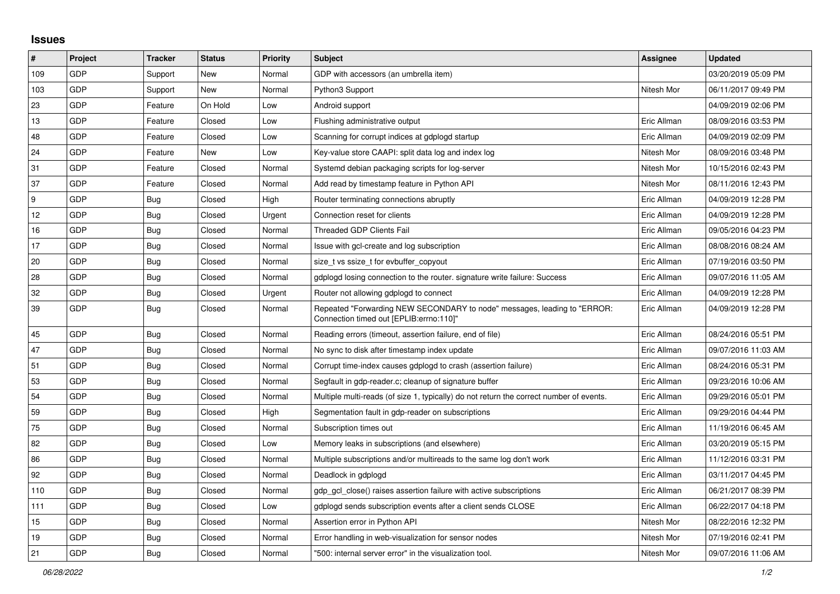## **Issues**

| $\vert$ #       | Project    | <b>Tracker</b> | <b>Status</b> | <b>Priority</b> | Subject                                                                                                             | <b>Assignee</b> | <b>Updated</b>      |
|-----------------|------------|----------------|---------------|-----------------|---------------------------------------------------------------------------------------------------------------------|-----------------|---------------------|
| 109             | GDP        | Support        | New           | Normal          | GDP with accessors (an umbrella item)                                                                               |                 | 03/20/2019 05:09 PM |
| 103             | GDP        | Support        | New           | Normal          | Python3 Support                                                                                                     | Nitesh Mor      | 06/11/2017 09:49 PM |
| 23              | GDP        | Feature        | On Hold       | Low             | Android support                                                                                                     |                 | 04/09/2019 02:06 PM |
| 13              | GDP        | Feature        | Closed        | Low             | Flushing administrative output                                                                                      | Eric Allman     | 08/09/2016 03:53 PM |
| 48              | GDP        | Feature        | Closed        | Low             | Scanning for corrupt indices at gdplogd startup                                                                     | Eric Allman     | 04/09/2019 02:09 PM |
| 24              | GDP        | Feature        | New           | Low             | Key-value store CAAPI: split data log and index log                                                                 | Nitesh Mor      | 08/09/2016 03:48 PM |
| 31              | <b>GDP</b> | Feature        | Closed        | Normal          | Systemd debian packaging scripts for log-server                                                                     | Nitesh Mor      | 10/15/2016 02:43 PM |
| 37              | GDP        | Feature        | Closed        | Normal          | Add read by timestamp feature in Python API                                                                         | Nitesh Mor      | 08/11/2016 12:43 PM |
| <u>g</u>        | GDP        | Bug            | Closed        | High            | Router terminating connections abruptly                                                                             | Eric Allman     | 04/09/2019 12:28 PM |
| 12 <sup>2</sup> | GDP        | <b>Bug</b>     | Closed        | Urgent          | Connection reset for clients                                                                                        | Eric Allman     | 04/09/2019 12:28 PM |
| 16              | GDP        | Bug            | Closed        | Normal          | Threaded GDP Clients Fail                                                                                           | Eric Allman     | 09/05/2016 04:23 PM |
| 17              | GDP        | <b>Bug</b>     | Closed        | Normal          | Issue with gcl-create and log subscription                                                                          | Eric Allman     | 08/08/2016 08:24 AM |
| 20              | GDP        | Bug            | Closed        | Normal          | size_t vs ssize_t for evbuffer_copyout                                                                              | Eric Allman     | 07/19/2016 03:50 PM |
| 28              | GDP        | <b>Bug</b>     | Closed        | Normal          | gdplogd losing connection to the router, signature write failure: Success                                           | Eric Allman     | 09/07/2016 11:05 AM |
| 32              | GDP        | <b>Bug</b>     | Closed        | Urgent          | Router not allowing gdplogd to connect                                                                              | Eric Allman     | 04/09/2019 12:28 PM |
| 39              | GDP        | <b>Bug</b>     | Closed        | Normal          | Repeated "Forwarding NEW SECONDARY to node" messages, leading to "ERROR:<br>Connection timed out [EPLIB:errno:110]" | Eric Allman     | 04/09/2019 12:28 PM |
| 45              | GDP        | Bug            | Closed        | Normal          | Reading errors (timeout, assertion failure, end of file)                                                            | Eric Allman     | 08/24/2016 05:51 PM |
| 47              | GDP        | Bug            | Closed        | Normal          | No sync to disk after timestamp index update                                                                        | Eric Allman     | 09/07/2016 11:03 AM |
| 51              | <b>GDP</b> | Bug            | Closed        | Normal          | Corrupt time-index causes gdplogd to crash (assertion failure)                                                      | Eric Allman     | 08/24/2016 05:31 PM |
| 53              | GDP        | <b>Bug</b>     | Closed        | Normal          | Segfault in gdp-reader.c; cleanup of signature buffer                                                               | Eric Allman     | 09/23/2016 10:06 AM |
| 54              | GDP        | <b>Bug</b>     | Closed        | Normal          | Multiple multi-reads (of size 1, typically) do not return the correct number of events.                             | Eric Allman     | 09/29/2016 05:01 PM |
| 59              | GDP        | <b>Bug</b>     | Closed        | High            | Segmentation fault in gdp-reader on subscriptions                                                                   | Eric Allman     | 09/29/2016 04:44 PM |
| 75              | GDP        | Bug            | Closed        | Normal          | Subscription times out                                                                                              | Eric Allman     | 11/19/2016 06:45 AM |
| 82              | GDP        | <b>Bug</b>     | Closed        | Low             | Memory leaks in subscriptions (and elsewhere)                                                                       | Eric Allman     | 03/20/2019 05:15 PM |
| 86              | GDP        | <b>Bug</b>     | Closed        | Normal          | Multiple subscriptions and/or multireads to the same log don't work                                                 | Eric Allman     | 11/12/2016 03:31 PM |
| 92              | GDP        | <b>Bug</b>     | Closed        | Normal          | Deadlock in gdplogd                                                                                                 | Eric Allman     | 03/11/2017 04:45 PM |
| 110             | GDP        | Bug            | Closed        | Normal          | gdp gcl close() raises assertion failure with active subscriptions                                                  | Eric Allman     | 06/21/2017 08:39 PM |
| 111             | GDP        | Bug            | Closed        | Low             | gdplogd sends subscription events after a client sends CLOSE                                                        | Eric Allman     | 06/22/2017 04:18 PM |
| 15              | <b>GDP</b> | Bug            | Closed        | Normal          | Assertion error in Python API                                                                                       | Nitesh Mor      | 08/22/2016 12:32 PM |
| 19              | GDP        | Bug            | Closed        | Normal          | Error handling in web-visualization for sensor nodes                                                                | Nitesh Mor      | 07/19/2016 02:41 PM |
| 21              | GDP        | <b>Bug</b>     | Closed        | Normal          | "500: internal server error" in the visualization tool.                                                             | Nitesh Mor      | 09/07/2016 11:06 AM |